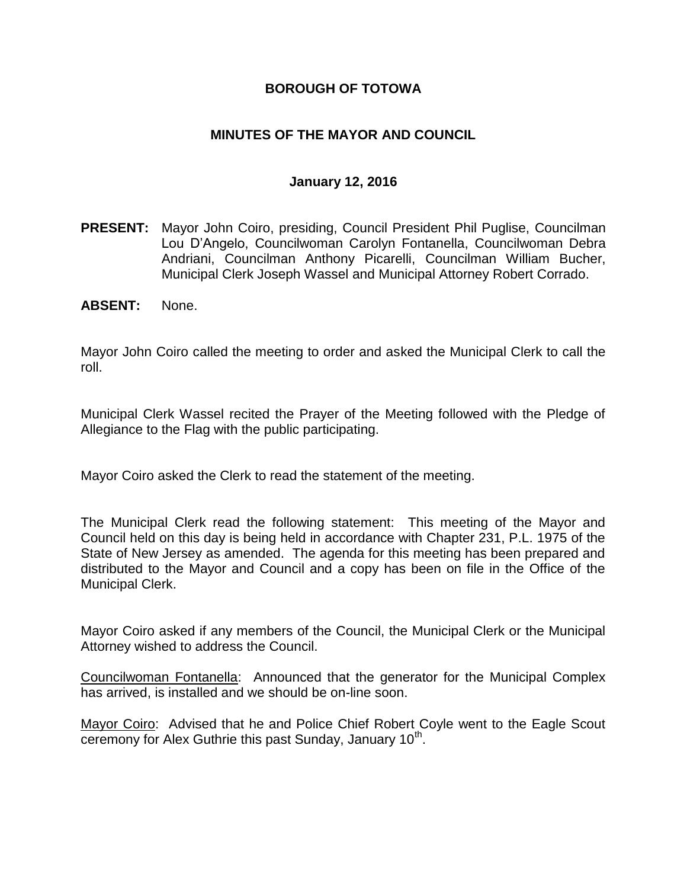### **BOROUGH OF TOTOWA**

### **MINUTES OF THE MAYOR AND COUNCIL**

#### **January 12, 2016**

- **PRESENT:** Mayor John Coiro, presiding, Council President Phil Puglise, Councilman Lou D'Angelo, Councilwoman Carolyn Fontanella, Councilwoman Debra Andriani, Councilman Anthony Picarelli, Councilman William Bucher, Municipal Clerk Joseph Wassel and Municipal Attorney Robert Corrado.
- **ABSENT:** None.

Mayor John Coiro called the meeting to order and asked the Municipal Clerk to call the roll.

Municipal Clerk Wassel recited the Prayer of the Meeting followed with the Pledge of Allegiance to the Flag with the public participating.

Mayor Coiro asked the Clerk to read the statement of the meeting.

The Municipal Clerk read the following statement: This meeting of the Mayor and Council held on this day is being held in accordance with Chapter 231, P.L. 1975 of the State of New Jersey as amended. The agenda for this meeting has been prepared and distributed to the Mayor and Council and a copy has been on file in the Office of the Municipal Clerk.

Mayor Coiro asked if any members of the Council, the Municipal Clerk or the Municipal Attorney wished to address the Council.

Councilwoman Fontanella: Announced that the generator for the Municipal Complex has arrived, is installed and we should be on-line soon.

Mayor Coiro: Advised that he and Police Chief Robert Coyle went to the Eagle Scout ceremony for Alex Guthrie this past Sunday, January 10<sup>th</sup>.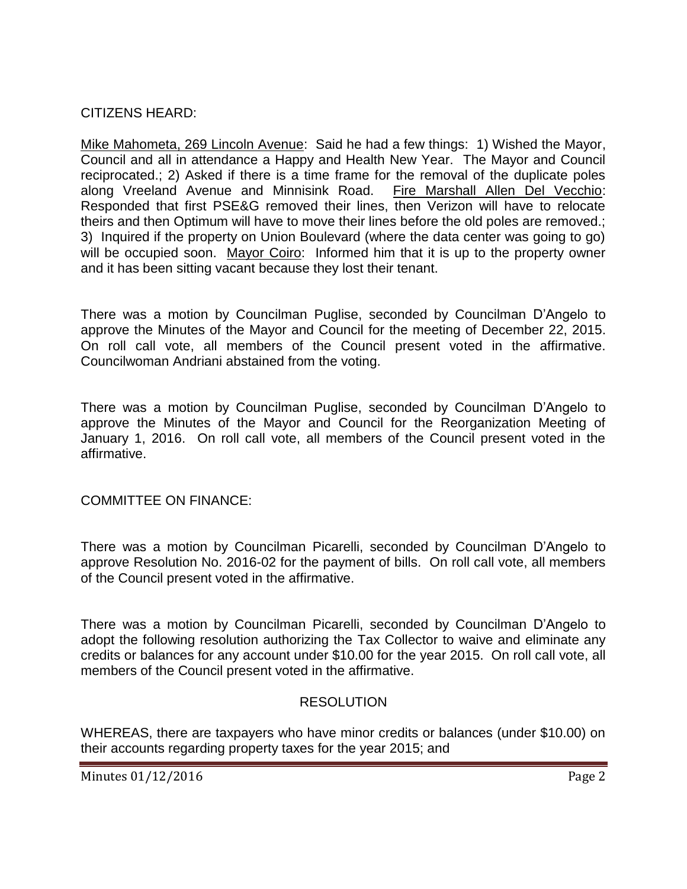### CITIZENS HEARD:

Mike Mahometa, 269 Lincoln Avenue: Said he had a few things: 1) Wished the Mayor, Council and all in attendance a Happy and Health New Year. The Mayor and Council reciprocated.; 2) Asked if there is a time frame for the removal of the duplicate poles along Vreeland Avenue and Minnisink Road. Fire Marshall Allen Del Vecchio: Responded that first PSE&G removed their lines, then Verizon will have to relocate theirs and then Optimum will have to move their lines before the old poles are removed.; 3) Inquired if the property on Union Boulevard (where the data center was going to go) will be occupied soon. Mayor Coiro: Informed him that it is up to the property owner and it has been sitting vacant because they lost their tenant.

There was a motion by Councilman Puglise, seconded by Councilman D'Angelo to approve the Minutes of the Mayor and Council for the meeting of December 22, 2015. On roll call vote, all members of the Council present voted in the affirmative. Councilwoman Andriani abstained from the voting.

There was a motion by Councilman Puglise, seconded by Councilman D'Angelo to approve the Minutes of the Mayor and Council for the Reorganization Meeting of January 1, 2016. On roll call vote, all members of the Council present voted in the affirmative.

COMMITTEE ON FINANCE:

There was a motion by Councilman Picarelli, seconded by Councilman D'Angelo to approve Resolution No. 2016-02 for the payment of bills. On roll call vote, all members of the Council present voted in the affirmative.

There was a motion by Councilman Picarelli, seconded by Councilman D'Angelo to adopt the following resolution authorizing the Tax Collector to waive and eliminate any credits or balances for any account under \$10.00 for the year 2015. On roll call vote, all members of the Council present voted in the affirmative.

# **RESOLUTION**

WHEREAS, there are taxpayers who have minor credits or balances (under \$10.00) on their accounts regarding property taxes for the year 2015; and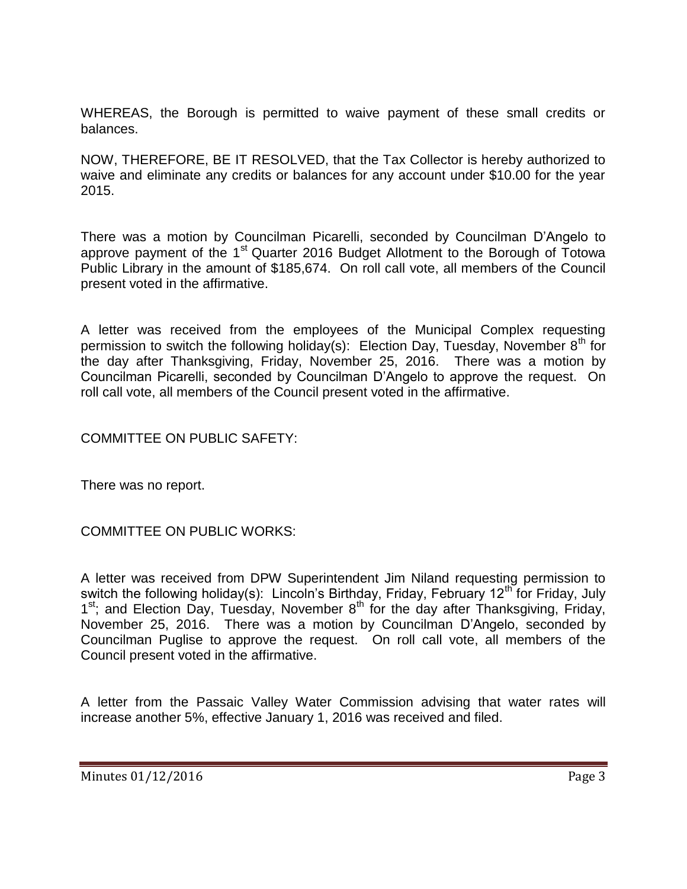WHEREAS, the Borough is permitted to waive payment of these small credits or balances.

NOW, THEREFORE, BE IT RESOLVED, that the Tax Collector is hereby authorized to waive and eliminate any credits or balances for any account under \$10.00 for the year 2015.

There was a motion by Councilman Picarelli, seconded by Councilman D'Angelo to approve payment of the 1<sup>st</sup> Quarter 2016 Budget Allotment to the Borough of Totowa Public Library in the amount of \$185,674. On roll call vote, all members of the Council present voted in the affirmative.

A letter was received from the employees of the Municipal Complex requesting permission to switch the following holiday(s): Election Day, Tuesday, November  $8<sup>th</sup>$  for the day after Thanksgiving, Friday, November 25, 2016. There was a motion by Councilman Picarelli, seconded by Councilman D'Angelo to approve the request. On roll call vote, all members of the Council present voted in the affirmative.

COMMITTEE ON PUBLIC SAFETY:

There was no report.

COMMITTEE ON PUBLIC WORKS:

A letter was received from DPW Superintendent Jim Niland requesting permission to switch the following holiday(s): Lincoln's Birthday, Friday, February 12<sup>th</sup> for Friday, July 1<sup>st</sup>; and Election Day, Tuesday, November 8<sup>th</sup> for the day after Thanksgiving, Friday, November 25, 2016. There was a motion by Councilman D'Angelo, seconded by Councilman Puglise to approve the request. On roll call vote, all members of the Council present voted in the affirmative.

A letter from the Passaic Valley Water Commission advising that water rates will increase another 5%, effective January 1, 2016 was received and filed.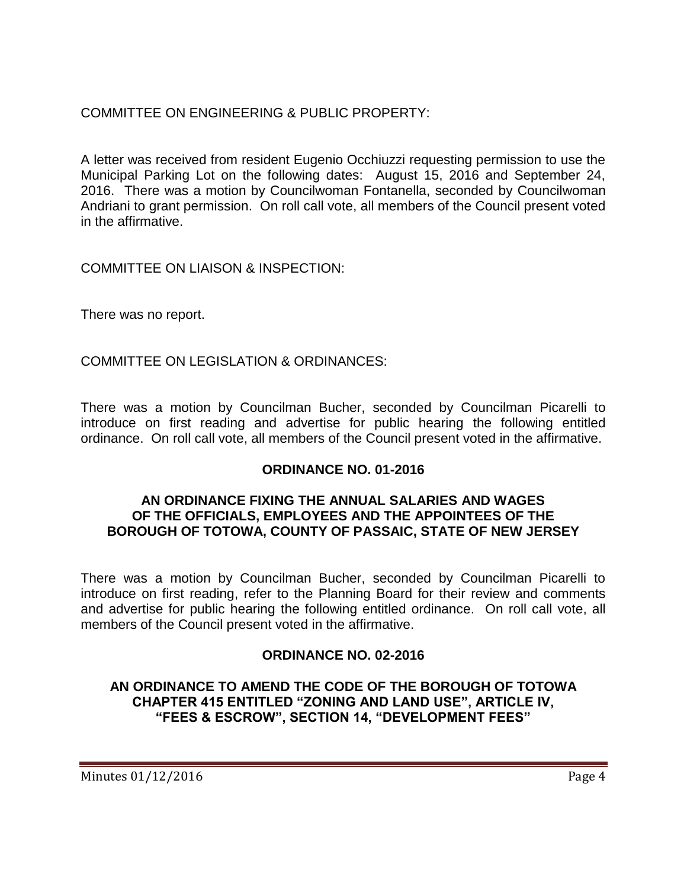# COMMITTEE ON ENGINEERING & PUBLIC PROPERTY:

A letter was received from resident Eugenio Occhiuzzi requesting permission to use the Municipal Parking Lot on the following dates: August 15, 2016 and September 24, 2016. There was a motion by Councilwoman Fontanella, seconded by Councilwoman Andriani to grant permission. On roll call vote, all members of the Council present voted in the affirmative.

COMMITTEE ON LIAISON & INSPECTION:

There was no report.

COMMITTEE ON LEGISLATION & ORDINANCES:

There was a motion by Councilman Bucher, seconded by Councilman Picarelli to introduce on first reading and advertise for public hearing the following entitled ordinance. On roll call vote, all members of the Council present voted in the affirmative.

# **ORDINANCE NO. 01-2016**

#### **AN ORDINANCE FIXING THE ANNUAL SALARIES AND WAGES OF THE OFFICIALS, EMPLOYEES AND THE APPOINTEES OF THE BOROUGH OF TOTOWA, COUNTY OF PASSAIC, STATE OF NEW JERSEY**

There was a motion by Councilman Bucher, seconded by Councilman Picarelli to introduce on first reading, refer to the Planning Board for their review and comments and advertise for public hearing the following entitled ordinance. On roll call vote, all members of the Council present voted in the affirmative.

# **ORDINANCE NO. 02-2016**

**AN ORDINANCE TO AMEND THE CODE OF THE BOROUGH OF TOTOWA CHAPTER 415 ENTITLED "ZONING AND LAND USE", ARTICLE IV, "FEES & ESCROW", SECTION 14, "DEVELOPMENT FEES"**